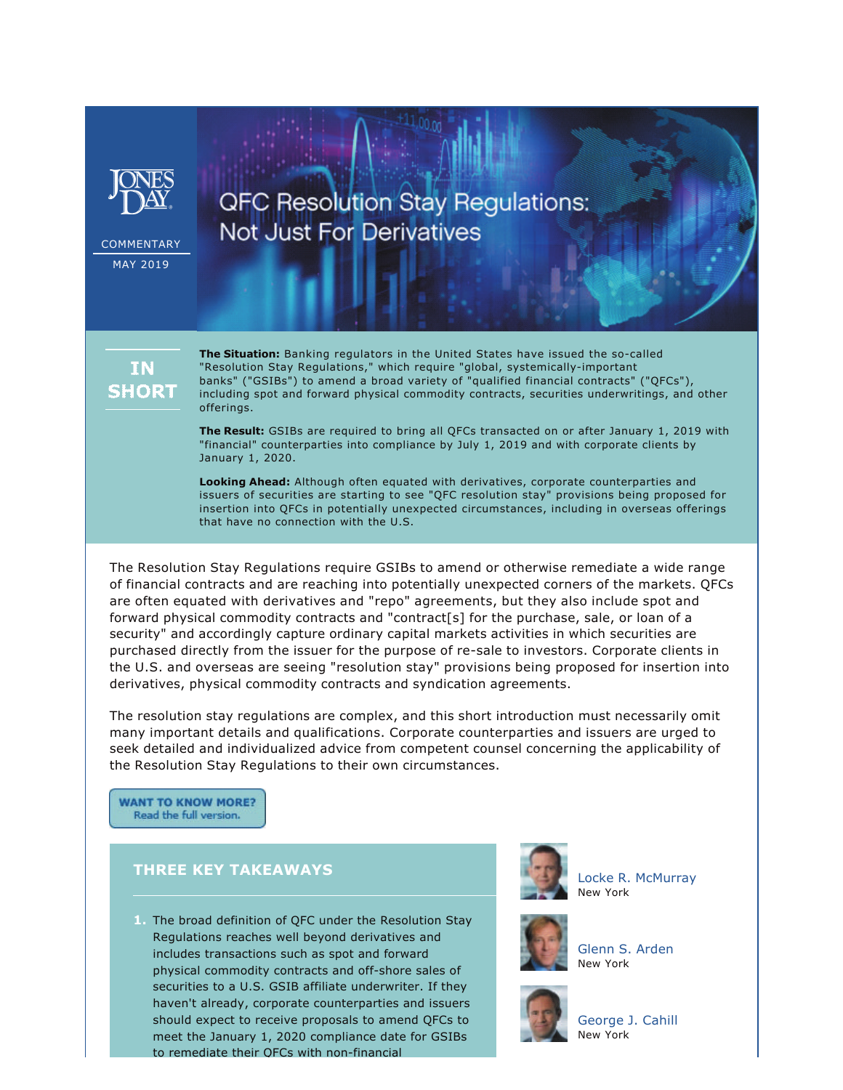

**COMMENTARY** MAY 2019

**QFC Resolution Stay Regulations: Not Just For Derivatives** 



**The Situation:** Banking regulators in the United States have issued the so-called "Resolution Stay Regulations," which require "global, systemically-important banks" ("GSIBs") to amend a broad variety of "qualified financial contracts" ("QFCs"), including spot and forward physical commodity contracts, securities underwritings, and other offerings.

**The Result:** GSIBs are required to bring all QFCs transacted on or after January 1, 2019 with "financial" counterparties into compliance by July 1, 2019 and with corporate clients by January 1, 2020.

**Looking Ahead:** Although often equated with derivatives, corporate counterparties and issuers of securities are starting to see "QFC resolution stay" provisions being proposed for insertion into QFCs in potentially unexpected circumstances, including in overseas offerings that have no connection with the U.S.

The Resolution Stay Regulations require GSIBs to amend or otherwise remediate a wide range of financial contracts and are reaching into potentially unexpected corners of the markets. QFCs are often equated with derivatives and "repo" agreements, but they also include spot and forward physical commodity contracts and "contract[s] for the purchase, sale, or loan of a security" and accordingly capture ordinary capital markets activities in which securities are purchased directly from the issuer for the purpose of re-sale to investors. Corporate clients in the U.S. and overseas are seeing "resolution stay" provisions being proposed for insertion into derivatives, physical commodity contracts and syndication agreements.

The resolution stay regulations are complex, and this short introduction must necessarily omit many important details and qualifications. Corporate counterparties and issuers are urged to seek detailed and individualized advice from competent counsel concerning the applicability of the Resolution Stay Regulations to their own circumstances.

**WANT TO KNOW MORE?** Read the full version.

## **THREE KEY TAKEAWAYS**

**1.** The broad definition of QFC under the Resolution Stay Regulations reaches well beyond derivatives and includes transactions such as spot and forward physical commodity contracts and off-shore sales of securities to a U.S. GSIB affiliate underwriter. If they haven't already, corporate counterparties and issuers should expect to receive proposals to amend QFCs to meet the January 1, 2020 compliance date for GSIBs to remediate their OFCs with non-financial



[Locke R. McMurray](https://www.jonesday.com/lmcmurray/) New York



[Glenn S. Arden](https://www.jonesday.com/gsarden/) New York



[George J. Cahill](https://www.jonesday.com/gjcahill/) New York